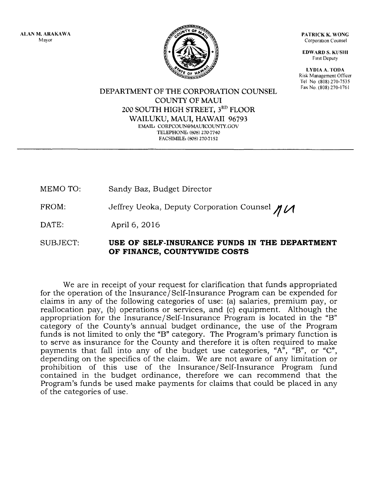ALAN M. ARAKAWA Mayor



PATRICK K. WONG Corporation Counsel

EDWARD S. KUSHI First Deputy

LYDIA A. TODA Risk Management Officer Tel No (808) 270-7535 Fax No. (808) 270-1761

DEPARTMENT OF THE CORPORATION COUNSEL COUNTY OF MAUl 200 SOUTH HIGH STREET, 3RD FLOOR WAILUKU, MAUl, HAWAII 96793 EMAIL: CORPCOUN@MAUICOUNTY.GOV TELEPHONE: (808) 270-7740 FACSIMILE: (808) 270-7152

MEMO TO: Sandy Baz, Budget Director

FROM: Jeffrey Ueoka, Deputy Corporation Counsel  $\mathcal{U}\mathcal{U}$ 

DATE: April 6, 2016

SUBJECT: **USE OF SELF-INSURANCE FUNDS IN THE DEPARTMENT OF FINANCE, COUNTYWIDE COSTS** 

We are in receipt of your request for clarification that funds appropriated for the operation of the Insurance/Self-Insurance Program can be expended for claims in any of the following categories of use: (a) salaries, premium pay, or reallocation pay, (b) operations or services, and (c) equipment. Although the appropriation for the Insurance/Self-Insurance Program is located in the "B" category of the County's annual budget ordinance, the use of the Program funds is not limited to only the "B" category. The Program's primary function is to serve as insurance for the County and therefore it is often required to make payments that fall into any of the budget use categories, " $A^{\tilde{r}}$ , "B", or "C", depending on the specifics of the claim. We are not aware of any limitation or prohibition of this use of the Insurance/Self-Insurance Program fund contained in the budget ordinance, therefore we can recommend that the Program's funds be used make payments for claims that could be placed in any of the categories of use.